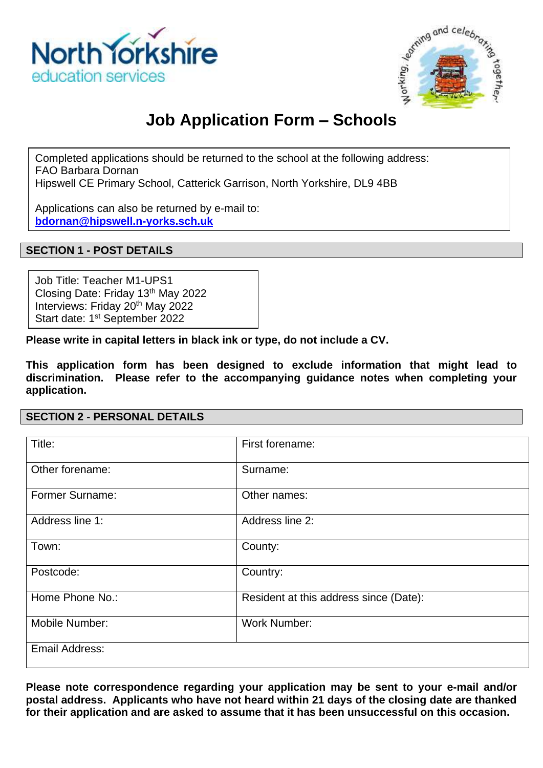



# **Job Application Form – Schools**

Completed applications should be returned to the school at the following address: FAO Barbara Dornan

Hipswell CE Primary School, Catterick Garrison, North Yorkshire, DL9 4BB

Applications can also be returned by e-mail to: **[bdornan@hipswell.n-yorks.sch.uk](mailto:bdornan@hipswell.n-yorks.sch.uk)**

## **SECTION 1 - POST DETAILS**

Job Title: Teacher M1-UPS1 Closing Date: Friday 13th May 2022 Interviews: Friday 20<sup>th</sup> May 2022 Start date: 1<sup>st</sup> September 2022

**Please write in capital letters in black ink or type, do not include a CV.**

**This application form has been designed to exclude information that might lead to discrimination. Please refer to the accompanying guidance notes when completing your application.**

#### **SECTION 2 - PERSONAL DETAILS**

| Title:                 | First forename:                        |
|------------------------|----------------------------------------|
| Other forename:        | Surname:                               |
| <b>Former Surname:</b> | Other names:                           |
| Address line 1:        | Address line 2:                        |
| Town:                  | County:                                |
| Postcode:              | Country:                               |
| Home Phone No.:        | Resident at this address since (Date): |
| Mobile Number:         | <b>Work Number:</b>                    |
| Email Address:         |                                        |

**Please note correspondence regarding your application may be sent to your e-mail and/or postal address. Applicants who have not heard within 21 days of the closing date are thanked for their application and are asked to assume that it has been unsuccessful on this occasion.**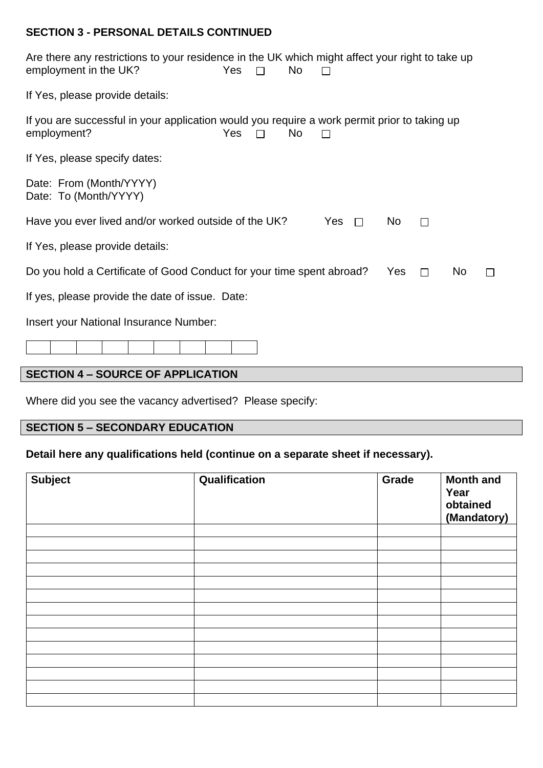## **SECTION 3 - PERSONAL DETAILS CONTINUED**

| Are there any restrictions to your residence in the UK which might affect your right to take up<br>employment in the UK?<br><b>Yes</b><br>No<br>$\Box$ |
|--------------------------------------------------------------------------------------------------------------------------------------------------------|
| If Yes, please provide details:                                                                                                                        |
| If you are successful in your application would you require a work permit prior to taking up<br>Yes<br>employment?<br><b>No</b><br>$\Box$              |
| If Yes, please specify dates:                                                                                                                          |
| Date: From (Month/YYYY)<br>Date: To (Month/YYYY)                                                                                                       |
| Have you ever lived and/or worked outside of the UK?<br>Yes<br>No.<br>$\Box$<br>$\Box$                                                                 |
| If Yes, please provide details:                                                                                                                        |
| Do you hold a Certificate of Good Conduct for your time spent abroad?<br>Yes<br>N <sub>o</sub><br>$\Box$                                               |
| If yes, please provide the date of issue. Date:                                                                                                        |
| Insert your National Insurance Number:                                                                                                                 |
|                                                                                                                                                        |
| <b>SECTION 4 - SOURCE OF APPLICATION</b>                                                                                                               |

Where did you see the vacancy advertised? Please specify:

# **SECTION 5 – SECONDARY EDUCATION**

## **Detail here any qualifications held (continue on a separate sheet if necessary).**

| <b>Subject</b> | Qualification | Grade | <b>Month and</b><br>Year<br>obtained<br>(Mandatory) |
|----------------|---------------|-------|-----------------------------------------------------|
|                |               |       |                                                     |
|                |               |       |                                                     |
|                |               |       |                                                     |
|                |               |       |                                                     |
|                |               |       |                                                     |
|                |               |       |                                                     |
|                |               |       |                                                     |
|                |               |       |                                                     |
|                |               |       |                                                     |
|                |               |       |                                                     |
|                |               |       |                                                     |
|                |               |       |                                                     |
|                |               |       |                                                     |
|                |               |       |                                                     |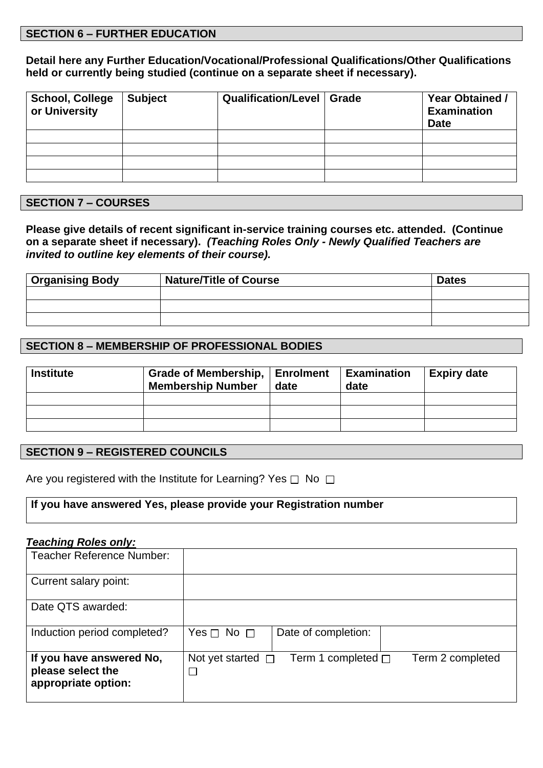#### **SECTION 6 – FURTHER EDUCATION**

**Detail here any Further Education/Vocational/Professional Qualifications/Other Qualifications held or currently being studied (continue on a separate sheet if necessary).**

| <b>School, College</b><br>or University | <b>Subject</b> | Qualification/Level   Grade | <b>Year Obtained /</b><br><b>Examination</b><br><b>Date</b> |
|-----------------------------------------|----------------|-----------------------------|-------------------------------------------------------------|
|                                         |                |                             |                                                             |
|                                         |                |                             |                                                             |
|                                         |                |                             |                                                             |
|                                         |                |                             |                                                             |

#### **SECTION 7 – COURSES**

**Please give details of recent significant in-service training courses etc. attended. (Continue on a separate sheet if necessary).** *(Teaching Roles Only - Newly Qualified Teachers are invited to outline key elements of their course).*

| <b>Organising Body</b> | <b>Nature/Title of Course</b> | <b>Dates</b> |
|------------------------|-------------------------------|--------------|
|                        |                               |              |
|                        |                               |              |
|                        |                               |              |

#### **SECTION 8 – MEMBERSHIP OF PROFESSIONAL BODIES**

| <b>Institute</b> | Grade of Membership, Enrolment<br><b>Membership Number</b> | date | <b>Examination</b><br>date | <b>Expiry date</b> |
|------------------|------------------------------------------------------------|------|----------------------------|--------------------|
|                  |                                                            |      |                            |                    |
|                  |                                                            |      |                            |                    |
|                  |                                                            |      |                            |                    |

#### **SECTION 9 – REGISTERED COUNCILS**

Are you registered with the Institute for Learning? Yes  $\Box$  No  $\Box$ 

#### **If you have answered Yes, please provide your Registration number**

#### *Teaching Roles only:*

| <b>Teacher Reference Number:</b>                                     |                                                                       |
|----------------------------------------------------------------------|-----------------------------------------------------------------------|
| Current salary point:                                                |                                                                       |
| Date QTS awarded:                                                    |                                                                       |
| Induction period completed?                                          | Yes $\sqcap$ No $\sqcap$<br>Date of completion:                       |
| If you have answered No,<br>please select the<br>appropriate option: | Not yet started $\Box$<br>Term 2 completed<br>Term 1 completed $\Box$ |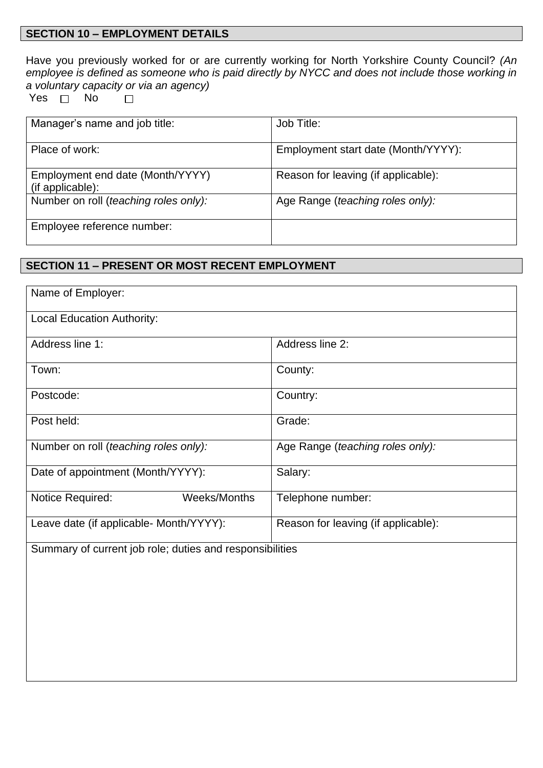## **SECTION 10 – EMPLOYMENT DETAILS**

Have you previously worked for or are currently working for North Yorkshire County Council? *(An employee is defined as someone who is paid directly by NYCC and does not include those working in a voluntary capacity or via an agency)*  $\Box$ 

Yes  $\Box$  No

| Manager's name and job title:                        | Job Title:                          |
|------------------------------------------------------|-------------------------------------|
| Place of work:                                       | Employment start date (Month/YYYY): |
| Employment end date (Month/YYYY)<br>(if applicable): | Reason for leaving (if applicable): |
| Number on roll (teaching roles only):                | Age Range (teaching roles only):    |
| Employee reference number:                           |                                     |

## **SECTION 11 – PRESENT OR MOST RECENT EMPLOYMENT**

| Name of Employer:                                        |                                     |  |
|----------------------------------------------------------|-------------------------------------|--|
| <b>Local Education Authority:</b>                        |                                     |  |
| Address line 1:                                          | Address line 2:                     |  |
| Town:                                                    | County:                             |  |
| Postcode:                                                | Country:                            |  |
| Post held:                                               | Grade:                              |  |
| Number on roll (teaching roles only):                    | Age Range (teaching roles only):    |  |
| Date of appointment (Month/YYYY):                        | Salary:                             |  |
| Notice Required:<br>Weeks/Months                         | Telephone number:                   |  |
| Leave date (if applicable- Month/YYYY):                  | Reason for leaving (if applicable): |  |
| Summary of current job role; duties and responsibilities |                                     |  |
|                                                          |                                     |  |
|                                                          |                                     |  |
|                                                          |                                     |  |
|                                                          |                                     |  |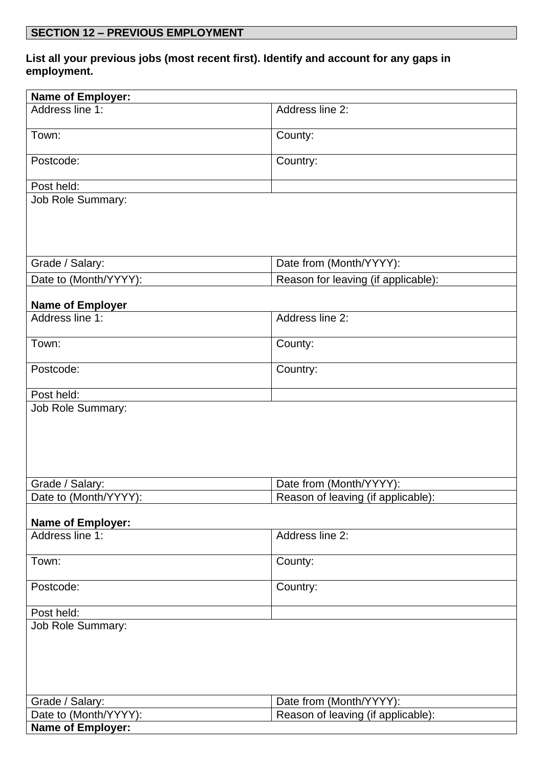## **List all your previous jobs (most recent first). Identify and account for any gaps in employment.**

| <b>Name of Employer:</b> |                                     |  |
|--------------------------|-------------------------------------|--|
| Address line 1:          | Address line 2:                     |  |
| Town:                    | County:                             |  |
| Postcode:                | Country:                            |  |
| Post held:               |                                     |  |
| Job Role Summary:        |                                     |  |
| Grade / Salary:          | Date from (Month/YYYY):             |  |
| Date to (Month/YYYY):    | Reason for leaving (if applicable): |  |
| <b>Name of Employer</b>  |                                     |  |
| Address line 1:          | Address line 2:                     |  |
| Town:                    | County:                             |  |
| Postcode:                | Country:                            |  |
| Post held:               |                                     |  |
|                          |                                     |  |
| Grade / Salary:          | Date from (Month/YYYY):             |  |
| Date to (Month/YYYY):    | Reason of leaving (if applicable):  |  |
| <b>Name of Employer:</b> |                                     |  |
| Address line 1:          | Address line 2:                     |  |
| Town:                    | County:                             |  |
| Postcode:                | Country:                            |  |
| Post held:               |                                     |  |
| <b>Job Role Summary:</b> |                                     |  |
| Grade / Salary:          | Date from (Month/YYYY):             |  |
| Date to (Month/YYYY):    | Reason of leaving (if applicable):  |  |
| Name of Employer:        |                                     |  |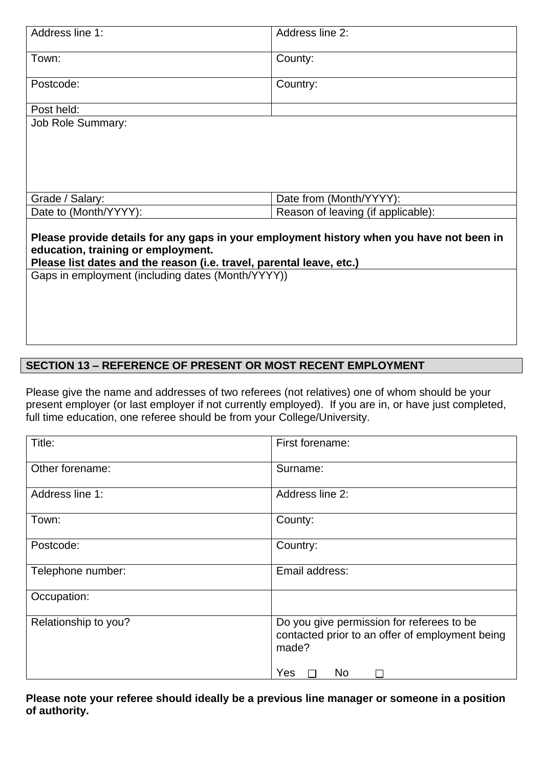| Address line 1:                                                                          | Address line 2:                    |
|------------------------------------------------------------------------------------------|------------------------------------|
| Town:                                                                                    | County:                            |
| Postcode:                                                                                | Country:                           |
|                                                                                          |                                    |
| Post held:                                                                               |                                    |
| <b>Job Role Summary:</b>                                                                 |                                    |
|                                                                                          |                                    |
|                                                                                          |                                    |
|                                                                                          |                                    |
|                                                                                          |                                    |
|                                                                                          |                                    |
| Grade / Salary:                                                                          | Date from (Month/YYYY):            |
| Date to (Month/YYYY):                                                                    | Reason of leaving (if applicable): |
|                                                                                          |                                    |
| Please provide details for any gaps in your employment history when you have not been in |                                    |
| education, training or employment.                                                       |                                    |
| Please list dates and the reason (i.e. travel, parental leave, etc.)                     |                                    |
| Gaps in employment (including dates (Month/YYYY))                                        |                                    |
|                                                                                          |                                    |
|                                                                                          |                                    |
|                                                                                          |                                    |
|                                                                                          |                                    |
|                                                                                          |                                    |

# **SECTION 13 – REFERENCE OF PRESENT OR MOST RECENT EMPLOYMENT**

Please give the name and addresses of two referees (not relatives) one of whom should be your present employer (or last employer if not currently employed). If you are in, or have just completed, full time education, one referee should be from your College/University.

| Title:               | First forename:                                                                                                                |
|----------------------|--------------------------------------------------------------------------------------------------------------------------------|
| Other forename:      | Surname:                                                                                                                       |
| Address line 1:      | Address line 2:                                                                                                                |
| Town:                | County:                                                                                                                        |
| Postcode:            | Country:                                                                                                                       |
| Telephone number:    | Email address:                                                                                                                 |
| Occupation:          |                                                                                                                                |
| Relationship to you? | Do you give permission for referees to be<br>contacted prior to an offer of employment being<br>made?<br>Yes<br>N <sub>o</sub> |

**Please note your referee should ideally be a previous line manager or someone in a position of authority.**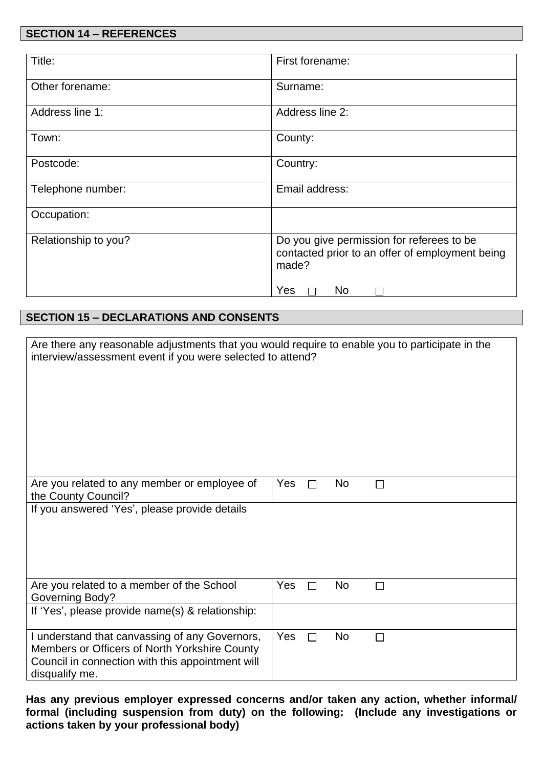## **SECTION 14 – REFERENCES**

| Title:               | First forename:                                                                                       |
|----------------------|-------------------------------------------------------------------------------------------------------|
| Other forename:      | Surname:                                                                                              |
| Address line 1:      | Address line 2:                                                                                       |
| Town:                | County:                                                                                               |
| Postcode:            | Country:                                                                                              |
| Telephone number:    | Email address:                                                                                        |
| Occupation:          |                                                                                                       |
| Relationship to you? | Do you give permission for referees to be<br>contacted prior to an offer of employment being<br>made? |
|                      | Yes<br>N <sub>o</sub>                                                                                 |

# **SECTION 15 – DECLARATIONS AND CONSENTS**

| Are there any reasonable adjustments that you would require to enable you to participate in the<br>interview/assessment event if you were selected to attend?         |     |   |           |              |
|-----------------------------------------------------------------------------------------------------------------------------------------------------------------------|-----|---|-----------|--------------|
| Are you related to any member or employee of<br>the County Council?                                                                                                   | Yes |   | <b>No</b> | П            |
| If you answered 'Yes', please provide details                                                                                                                         |     |   |           |              |
| Are you related to a member of the School<br>Governing Body?                                                                                                          | Yes |   | <b>No</b> | $\mathbf{I}$ |
| If 'Yes', please provide name(s) & relationship:                                                                                                                      |     |   |           |              |
| I understand that canvassing of any Governors,<br>Members or Officers of North Yorkshire County<br>Council in connection with this appointment will<br>disqualify me. | Yes | П | <b>No</b> | П            |

**Has any previous employer expressed concerns and/or taken any action, whether informal/ formal (including suspension from duty) on the following: (Include any investigations or actions taken by your professional body)**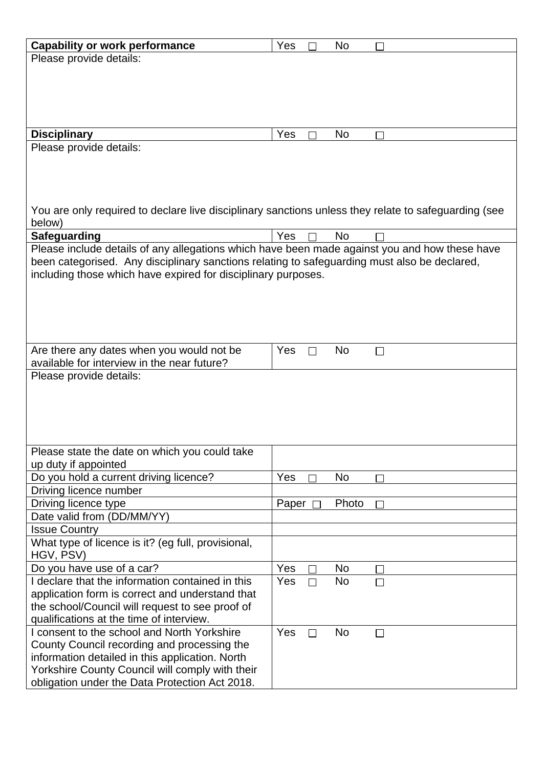| <b>Capability or work performance</b>                                                                | Yes   |   | No        |              |  |  |
|------------------------------------------------------------------------------------------------------|-------|---|-----------|--------------|--|--|
| Please provide details:                                                                              |       |   |           |              |  |  |
|                                                                                                      |       |   |           |              |  |  |
|                                                                                                      |       |   |           |              |  |  |
|                                                                                                      |       |   |           |              |  |  |
|                                                                                                      |       |   |           |              |  |  |
|                                                                                                      |       |   |           |              |  |  |
| <b>Disciplinary</b>                                                                                  | Yes   |   | <b>No</b> |              |  |  |
| Please provide details:                                                                              |       |   |           |              |  |  |
|                                                                                                      |       |   |           |              |  |  |
|                                                                                                      |       |   |           |              |  |  |
|                                                                                                      |       |   |           |              |  |  |
|                                                                                                      |       |   |           |              |  |  |
| You are only required to declare live disciplinary sanctions unless they relate to safeguarding (see |       |   |           |              |  |  |
| below)                                                                                               |       |   |           |              |  |  |
| Safeguarding                                                                                         | Yes   |   | <b>No</b> |              |  |  |
| Please include details of any allegations which have been made against you and how these have        |       |   |           |              |  |  |
| been categorised. Any disciplinary sanctions relating to safeguarding must also be declared,         |       |   |           |              |  |  |
| including those which have expired for disciplinary purposes.                                        |       |   |           |              |  |  |
|                                                                                                      |       |   |           |              |  |  |
|                                                                                                      |       |   |           |              |  |  |
|                                                                                                      |       |   |           |              |  |  |
|                                                                                                      |       |   |           |              |  |  |
|                                                                                                      |       |   |           |              |  |  |
|                                                                                                      |       |   |           |              |  |  |
| Are there any dates when you would not be                                                            | Yes   | П | <b>No</b> | $\Box$       |  |  |
| available for interview in the near future?                                                          |       |   |           |              |  |  |
| Please provide details:                                                                              |       |   |           |              |  |  |
|                                                                                                      |       |   |           |              |  |  |
|                                                                                                      |       |   |           |              |  |  |
|                                                                                                      |       |   |           |              |  |  |
|                                                                                                      |       |   |           |              |  |  |
|                                                                                                      |       |   |           |              |  |  |
| Please state the date on which you could take                                                        |       |   |           |              |  |  |
| up duty if appointed                                                                                 |       |   |           |              |  |  |
| Do you hold a current driving licence?                                                               | Yes   |   | <b>No</b> |              |  |  |
| Driving licence number                                                                               |       |   |           |              |  |  |
| Driving licence type                                                                                 | Paper |   | Photo     |              |  |  |
| Date valid from (DD/MM/YY)                                                                           |       |   |           |              |  |  |
| <b>Issue Country</b>                                                                                 |       |   |           |              |  |  |
| What type of licence is it? (eg full, provisional,                                                   |       |   |           |              |  |  |
| HGV, PSV)                                                                                            |       |   |           |              |  |  |
| Do you have use of a car?                                                                            | Yes   |   | <b>No</b> | $\mathsf{L}$ |  |  |
| I declare that the information contained in this                                                     | Yes   |   | <b>No</b> | $\Box$       |  |  |
| application form is correct and understand that                                                      |       |   |           |              |  |  |
| the school/Council will request to see proof of                                                      |       |   |           |              |  |  |
| qualifications at the time of interview.                                                             |       |   |           |              |  |  |
| I consent to the school and North Yorkshire                                                          | Yes   | П | <b>No</b> | $\Box$       |  |  |
| County Council recording and processing the                                                          |       |   |           |              |  |  |
| information detailed in this application. North                                                      |       |   |           |              |  |  |
|                                                                                                      |       |   |           |              |  |  |
| Yorkshire County Council will comply with their                                                      |       |   |           |              |  |  |
| obligation under the Data Protection Act 2018.                                                       |       |   |           |              |  |  |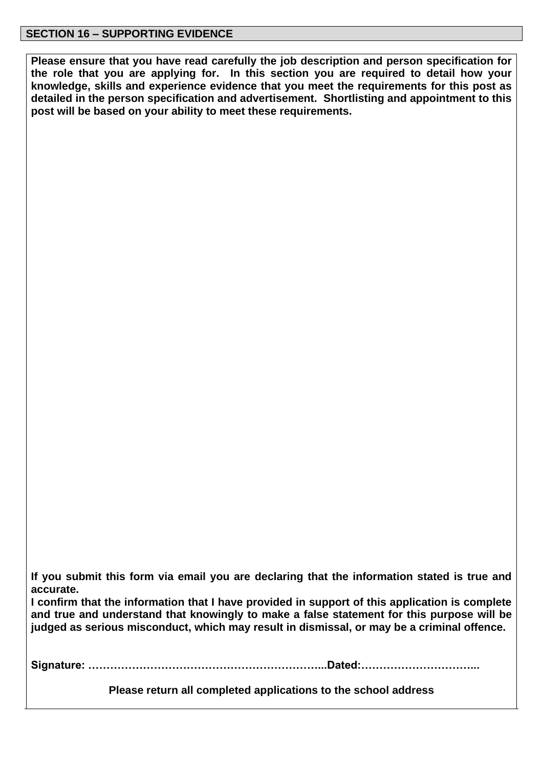**Please ensure that you have read carefully the job description and person specification for the role that you are applying for. In this section you are required to detail how your knowledge, skills and experience evidence that you meet the requirements for this post as detailed in the person specification and advertisement. Shortlisting and appointment to this post will be based on your ability to meet these requirements.**

**If you submit this form via email you are declaring that the information stated is true and accurate.**

**I confirm that the information that I have provided in support of this application is complete and true and understand that knowingly to make a false statement for this purpose will be judged as serious misconduct, which may result in dismissal, or may be a criminal offence.**

**Signature: ………………………………………………………...Dated:…………………………...**

**Please return all completed applications to the school address**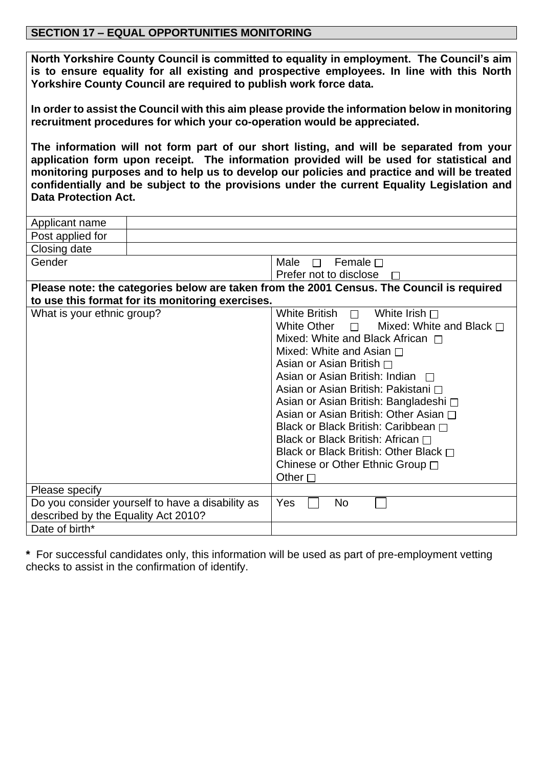## **SECTION 17 – EQUAL OPPORTUNITIES MONITORING**

**North Yorkshire County Council is committed to equality in employment. The Council's aim is to ensure equality for all existing and prospective employees. In line with this North Yorkshire County Council are required to publish work force data.**

**In order to assist the Council with this aim please provide the information below in monitoring recruitment procedures for which your co-operation would be appreciated.** 

**The information will not form part of our short listing, and will be separated from your application form upon receipt. The information provided will be used for statistical and monitoring purposes and to help us to develop our policies and practice and will be treated confidentially and be subject to the provisions under the current Equality Legislation and Data Protection Act.**

| Applicant name                                                                            |                                                  |                                                     |  |  |  |
|-------------------------------------------------------------------------------------------|--------------------------------------------------|-----------------------------------------------------|--|--|--|
| Post applied for                                                                          |                                                  |                                                     |  |  |  |
| Closing date                                                                              |                                                  |                                                     |  |  |  |
| Gender                                                                                    |                                                  | Male $\Box$ Female $\Box$                           |  |  |  |
|                                                                                           |                                                  | Prefer not to disclose                              |  |  |  |
| Please note: the categories below are taken from the 2001 Census. The Council is required |                                                  |                                                     |  |  |  |
|                                                                                           | to use this format for its monitoring exercises. |                                                     |  |  |  |
| What is your ethnic group?                                                                |                                                  | White British $\Box$ White Irish $\Box$             |  |  |  |
|                                                                                           |                                                  | White Other $\Box$<br>Mixed: White and Black $\Box$ |  |  |  |
|                                                                                           |                                                  | Mixed: White and Black African $\Box$               |  |  |  |
|                                                                                           |                                                  | Mixed: White and Asian $\Box$                       |  |  |  |
|                                                                                           |                                                  | Asian or Asian British $\Box$                       |  |  |  |
|                                                                                           |                                                  | Asian or Asian British: Indian $\Box$               |  |  |  |
|                                                                                           |                                                  | Asian or Asian British: Pakistani □                 |  |  |  |
|                                                                                           |                                                  | Asian or Asian British: Bangladeshi □               |  |  |  |
|                                                                                           |                                                  | Asian or Asian British: Other Asian □               |  |  |  |
|                                                                                           |                                                  | Black or Black British: Caribbean □                 |  |  |  |
|                                                                                           |                                                  | Black or Black British: African $\Box$              |  |  |  |
|                                                                                           |                                                  | Black or Black British: Other Black $\Box$          |  |  |  |
|                                                                                           |                                                  | Chinese or Other Ethnic Group □                     |  |  |  |
|                                                                                           |                                                  | Other $\square$                                     |  |  |  |
| Please specify                                                                            |                                                  |                                                     |  |  |  |
|                                                                                           | Do you consider yourself to have a disability as | Yes<br><b>No</b>                                    |  |  |  |
| described by the Equality Act 2010?                                                       |                                                  |                                                     |  |  |  |
| Date of birth*                                                                            |                                                  |                                                     |  |  |  |

**\*** For successful candidates only, this information will be used as part of pre-employment vetting checks to assist in the confirmation of identify.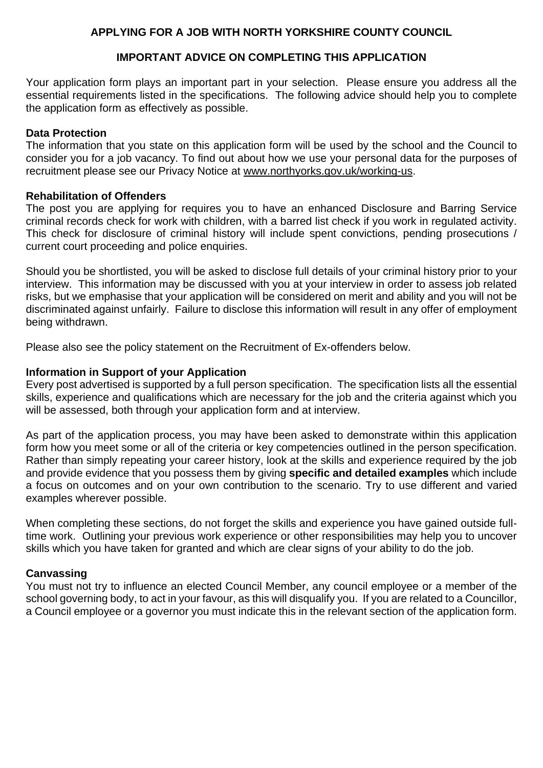## **APPLYING FOR A JOB WITH NORTH YORKSHIRE COUNTY COUNCIL**

## **IMPORTANT ADVICE ON COMPLETING THIS APPLICATION**

Your application form plays an important part in your selection. Please ensure you address all the essential requirements listed in the specifications. The following advice should help you to complete the application form as effectively as possible.

#### **Data Protection**

The information that you state on this application form will be used by the school and the Council to consider you for a job vacancy. To find out about how we use your personal data for the purposes of recruitment please see our Privacy Notice at [www.northyorks.gov.uk/working-us.](http://www.northyorks.gov.uk/working-us)

#### **Rehabilitation of Offenders**

The post you are applying for requires you to have an enhanced Disclosure and Barring Service criminal records check for work with children, with a barred list check if you work in regulated activity. This check for disclosure of criminal history will include spent convictions, pending prosecutions / current court proceeding and police enquiries.

Should you be shortlisted, you will be asked to disclose full details of your criminal history prior to your interview. This information may be discussed with you at your interview in order to assess job related risks, but we emphasise that your application will be considered on merit and ability and you will not be discriminated against unfairly. Failure to disclose this information will result in any offer of employment being withdrawn.

Please also see the policy statement on the Recruitment of Ex-offenders below.

#### **Information in Support of your Application**

Every post advertised is supported by a full person specification. The specification lists all the essential skills, experience and qualifications which are necessary for the job and the criteria against which you will be assessed, both through your application form and at interview.

As part of the application process, you may have been asked to demonstrate within this application form how you meet some or all of the criteria or key competencies outlined in the person specification. Rather than simply repeating your career history, look at the skills and experience required by the job and provide evidence that you possess them by giving **specific and detailed examples** which include a focus on outcomes and on your own contribution to the scenario. Try to use different and varied examples wherever possible.

When completing these sections, do not forget the skills and experience you have gained outside fulltime work. Outlining your previous work experience or other responsibilities may help you to uncover skills which you have taken for granted and which are clear signs of your ability to do the job.

#### **Canvassing**

You must not try to influence an elected Council Member, any council employee or a member of the school governing body, to act in your favour, as this will disqualify you. If you are related to a Councillor, a Council employee or a governor you must indicate this in the relevant section of the application form.